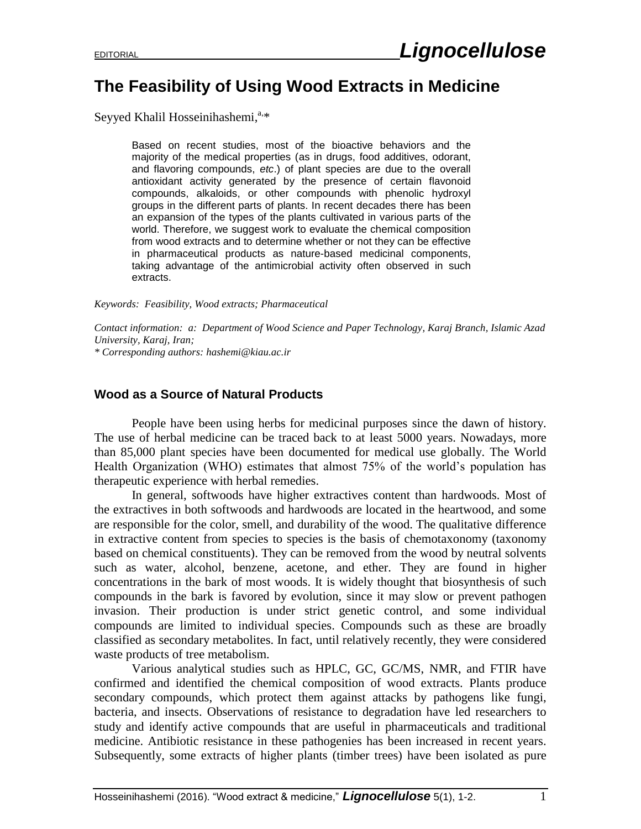## **The Feasibility of Using Wood Extracts in Medicine**

Seyyed Khalil Hosseinihashemi,<sup>a,\*</sup>

Based on recent studies, most of the bioactive behaviors and the majority of the medical properties (as in drugs, food additives, odorant, and flavoring compounds, *etc*.) of plant species are due to the overall antioxidant activity generated by the presence of certain flavonoid compounds, alkaloids, or other compounds with phenolic hydroxyl groups in the different parts of plants. In recent decades there has been an expansion of the types of the plants cultivated in various parts of the world. Therefore, we suggest work to evaluate the chemical composition from wood extracts and to determine whether or not they can be effective in pharmaceutical products as nature-based medicinal components, taking advantage of the antimicrobial activity often observed in such extracts.

*Keywords: Feasibility, Wood extracts; Pharmaceutical*

*Contact information: a: Department of Wood Science and Paper Technology, Karaj Branch, Islamic Azad University, Karaj, Iran; \* Corresponding authors: hashemi@kiau.ac.ir*

## **Wood as a Source of Natural Products**

People have been using herbs for medicinal purposes since the dawn of history. The use of herbal medicine can be traced back to at least 5000 years. Nowadays, more than 85,000 plant species have been documented for medical use globally. The World Health Organization (WHO) estimates that almost 75% of the world's population has therapeutic experience with herbal remedies.

In general, softwoods have higher extractives content than hardwoods. Most of the extractives in both softwoods and hardwoods are located in the heartwood, and some are responsible for the color, smell, and durability of the wood. The qualitative difference in extractive content from species to species is the basis of chemotaxonomy (taxonomy based on chemical constituents). They can be removed from the wood by neutral solvents such as water, alcohol, benzene, acetone, and ether. They are found in higher concentrations in the bark of most woods. It is widely thought that biosynthesis of such compounds in the bark is favored by evolution, since it may slow or prevent pathogen invasion. Their production is under strict genetic control, and some individual compounds are limited to individual species. Compounds such as these are broadly classified as secondary metabolites. In fact, until relatively recently, they were considered waste products of tree metabolism.

Various analytical studies such as HPLC, GC, GC/MS, NMR, and FTIR have confirmed and identified the chemical composition of wood extracts. Plants produce secondary compounds, which protect them against attacks by pathogens like fungi, bacteria, and insects. Observations of resistance to degradation have led researchers to study and identify active compounds that are useful in pharmaceuticals and traditional medicine. Antibiotic resistance in these pathogenies has been increased in recent years. Subsequently, some extracts of higher plants (timber trees) have been isolated as pure